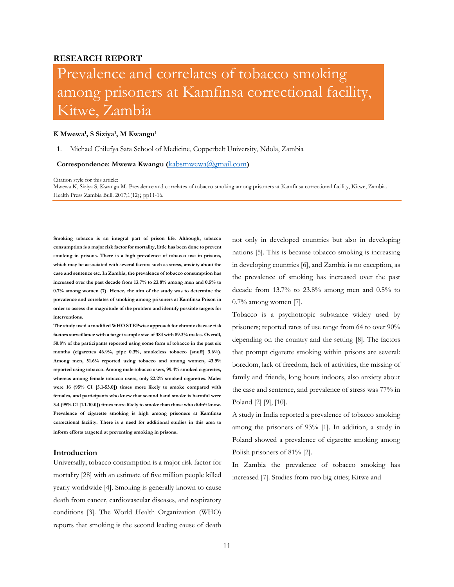# **RESEARCH REPORT**

# Prevalence and correlates of tobacco smoking among prisoners at Kamfinsa correctional facility, Kitwe, Zambia

#### **K Mwewa<sup>1</sup> , S Siziya<sup>1</sup> , M Kwangu<sup>1</sup>**

1. Michael Chilufya Sata School of Medicine, Copperbelt University, Ndola, Zambia

#### **Correspondence: Mwewa Kwangu (**[kabsmwewa@gmail.com](mailto:kabsmwewa@gmail.com)**)**

#### Citation style for this article:

Mwewa K, Siziya S, Kwangu M. Prevalence and correlates of tobacco smoking among prisoners at Kamfinsa correctional facility, Kitwe, Zambia. Health Press Zambia Bull. 2017;1(12); pp11-16.

**Smoking tobacco is an integral part of prison life. Although, tobacco consumption is a major risk factor for mortality, little has been done to prevent smoking in prisons. There is a high prevalence of tobacco use in prisons, which may be associated with several factors such as stress, anxiety about the case and sentence etc. In Zambia, the prevalence of tobacco consumption has increased over the past decade from 13.7% to 23.8% among men and 0.5% to 0.7% among women (7). Hence, the aim of the study was to determine the prevalence and correlates of smoking among prisoners at Kamfinsa Prison in order to assess the magnitude of the problem and identify possible targets for interventions.**

**The study used a modified WHO STEPwise approach for chronic disease risk factors surveillance with a target sample size of 384 with 89.3% males. Overall, 50.8% of the participants reported using some form of tobacco in the past six months (cigarettes 46.9%, pipe 0.3%, smokeless tobacco [snuff] 3.6%). Among men, 51.6% reported using tobacco and among women, 43.9% reported using tobacco. Among male tobacco users, 99.4% smoked cigarettes, whereas among female tobacco users, only 22.2% smoked cigarettes. Males were 16 (95% CI [5.1-53.0]) times more likely to smoke compared with females, and participants who knew that second hand smoke is harmful were 3.4 (95% CI [1.1-10.0]) times more likely to smoke than those who didn't know. Prevalence of cigarette smoking is high among prisoners at Kamfinsa correctional facility. There is a need for additional studies in this area to inform efforts targeted at preventing smoking in prisons.** 

#### **Introduction**

Universally, tobacco consumption is a major risk factor for mortality [28] with an estimate of five million people killed yearly worldwide [4]. Smoking is generally known to cause death from cancer, cardiovascular diseases, and respiratory conditions [3]. The World Health Organization (WHO) reports that smoking is the second leading cause of death

not only in developed countries but also in developing nations [5]. This is because tobacco smoking is increasing in developing countries [6], and Zambia is no exception, as the prevalence of smoking has increased over the past decade from 13.7% to 23.8% among men and 0.5% to 0.7% among women [7].

Tobacco is a psychotropic substance widely used by prisoners; reported rates of use range from 64 to over 90% depending on the country and the setting [8]. The factors that prompt cigarette smoking within prisons are several: boredom, lack of freedom, lack of activities, the missing of family and friends, long hours indoors, also anxiety about the case and sentence, and prevalence of stress was 77% in Poland [2] [9], [10].

A study in India reported a prevalence of tobacco smoking among the prisoners of 93% [1]. In addition, a study in Poland showed a prevalence of cigarette smoking among Polish prisoners of 81% [2].

In Zambia the prevalence of tobacco smoking has increased [7]. Studies from two big cities; Kitwe and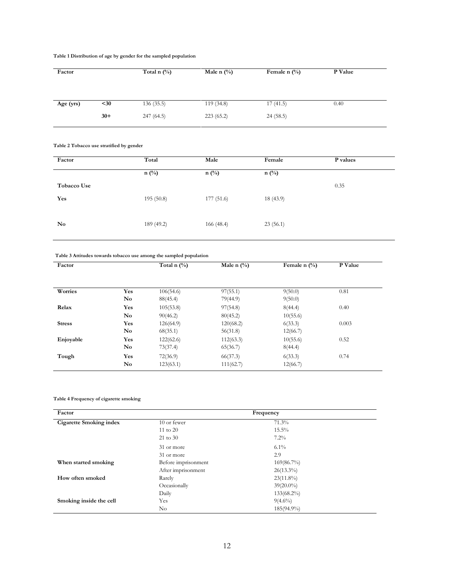## **Table 1 Distribution of age by gender for the sampled population**

| Factor    |       | Total n $(\%)$ | Male n $(\%$ | Female n $(\%)$ | P Value |  |
|-----------|-------|----------------|--------------|-----------------|---------|--|
|           |       |                |              |                 |         |  |
|           |       |                |              |                 |         |  |
| Age (yrs) | $30$  | 136(35.5)      | 119(34.8)    | 17(41.5)        | 0.40    |  |
|           | $30+$ | 247 (64.5)     | 223(65.2)    | 24(58.5)        |         |  |
|           |       |                |              |                 |         |  |

**Table 2 Tobacco use stratified by gender**

| Factor      | Total         | Male       | Female   | P values |
|-------------|---------------|------------|----------|----------|
|             | $n(^{0}_{0})$ | $n$ (%)    | $n$ (%)  |          |
| Tobacco Use |               |            |          | 0.35     |
| Yes         | 195(50.8)     | 177 (51.6) | 18(43.9) |          |
|             |               |            |          |          |
| No          | 189 (49.2)    | 166 (48.4) | 23(56.1) |          |
|             |               |            |          |          |

## **Table 3 Attitudes towards tobacco use among the sampled population**

| Factor        |                        | Total n $(\%)$ | Male n $(\%)$ | Female n $(\% )$ | P Value |
|---------------|------------------------|----------------|---------------|------------------|---------|
|               |                        |                |               |                  |         |
|               |                        |                |               |                  |         |
| Worries       | Yes                    | 106(54.6)      | 97(55.1)      | 9(50.0)          | 0.81    |
|               | $\mathbf{N}\mathbf{o}$ | 88(45.4)       | 79(44.9)      | 9(50.0)          |         |
| Relax         | Yes                    | 105(53.8)      | 97(54.8)      | 8(44.4)          | 0.40    |
|               | $\mathbf{N}\mathbf{o}$ | 90(46.2)       | 80(45.2)      | 10(55.6)         |         |
| <b>Stress</b> | Yes                    | 126(64.9)      | 120(68.2)     | 6(33.3)          | 0.003   |
|               | No                     | 68(35.1)       | 56(31.8)      | 12(66.7)         |         |
| Enjoyable     | Yes                    | 122(62.6)      | 112(63.3)     | 10(55.6)         | 0.52    |
|               | No                     | 73(37.4)       | 65(36.7)      | 8(44.4)          |         |
| Tough         | Yes                    | 72(36.9)       | 66(37.3)      | 6(33.3)          | 0.74    |
|               | <b>No</b>              | 123(63.1)      | 111(62.7)     | 12(66.7)         |         |

## **Table 4 Frequency of cigarette smoking**

| Factor                         | Frequency           |               |  |  |
|--------------------------------|---------------------|---------------|--|--|
| <b>Cigarette Smoking index</b> | 10 or fewer         | 71.3%         |  |  |
|                                | $11$ to $20$        | $15.5\%$      |  |  |
|                                | $21$ to $30$        | $7.2\%$       |  |  |
|                                | 31 or more          | $6.1\%$       |  |  |
|                                | 31 or more          | 2.9           |  |  |
| When started smoking           | Before imprisonment | $169(86.7\%)$ |  |  |
|                                | After imprisonment  | $26(13.3\%)$  |  |  |
| How often smoked               | Rarely              | $23(11.8\%)$  |  |  |
|                                | Occasionally        | $39(20.0\%)$  |  |  |
|                                | Daily               | $133(68.2\%)$ |  |  |
| Smoking inside the cell        | Yes                 | $9(4.6\%)$    |  |  |
|                                | $\rm No$            | 185(94.9%)    |  |  |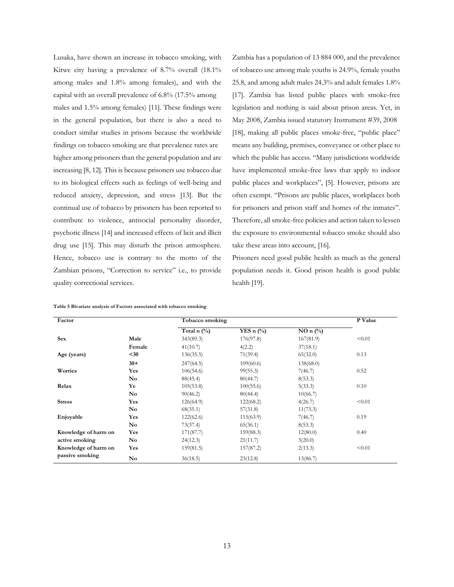Lusaka, have shown an increase in tobacco smoking, with Kitwe city having a prevalence of 8.7% overall (18.1% among males and 1.8% among females), and with the capital with an overall prevalence of 6.8% (17.5% among males and 1.5% among females) [11]. These findings were in the general population, but there is also a need to conduct similar studies in prisons because the worldwide findings on tobacco smoking are that prevalence rates are higher among prisoners than the general population and are increasing [8, 12]. This is because prisoners use tobacco due to its biological effects such as feelings of well-being and reduced anxiety, depression, and stress [13]. But the continual use of tobacco by prisoners has been reported to contribute to violence, antisocial personality disorder, psychotic illness [14] and increased effects of licit and illicit drug use [15]. This may disturb the prison atmosphere. Hence, tobacco use is contrary to the motto of the Zambian prisons, "Correction to service" i.e., to provide quality correctional services.

Zambia has a population of 13 884 000, and the prevalence of tobacco use among male youths is 24.9%, female youths 25.8, and among adult males 24.3% and adult females 1.8% [17]. Zambia has listed public places with smoke-free legislation and nothing is said about prison areas. Yet, in May 2008, Zambia issued statutory Instrument #39, 2008 [18], making all public places smoke-free, "public place" means any building, premises, conveyance or other place to which the public has access. "Many jurisdictions worldwide have implemented smoke-free laws that apply to indoor public places and workplaces", [5]. However, prisons are often exempt. "Prisons are public places, workplaces both for prisoners and prison staff and homes of the inmates". Therefore, all smoke-free policies and action taken to lessen the exposure to environmental tobacco smoke should also take these areas into account, [16].

Prisoners need good public health as much as the general population needs it. Good prison health is good public health [19].

| Factor               |                        | Tobacco smoking |              |            | P Value |
|----------------------|------------------------|-----------------|--------------|------------|---------|
|                      |                        | Total n $(\%)$  | YES n $(\%)$ | $NO n$ (%) |         |
| <b>Sex</b>           | Male                   | 343(89.3)       | 176(97.8)    | 167(81.9)  | < 0.01  |
|                      | Female                 | 41(10.7)        | 4(2.2)       | 37(18.1)   |         |
| Age (years)          | $30$                   | 136(35.5)       | 71(39.4)     | 65(32.0)   | 0.13    |
|                      | $30+$                  | 247(64.5)       | 109(60.6)    | 138(68.0)  |         |
| Worries              | Yes                    | 106(54.6)       | 99(55.3)     | 7(46.7)    | 0.52    |
|                      | <b>No</b>              | 88(45.4)        | 80(44.7)     | 8(53.3)    |         |
| Relax                | Ye                     | 105(53.8)       | 100(55.6)    | 5(33.3)    | 0.10    |
|                      | <b>No</b>              | 90(46.2)        | 80(44.4)     | 10(66.7)   |         |
| <b>Stress</b>        | <b>Yes</b>             | 126(64.9)       | 122(68.2)    | 4(26.7)    | < 0.01  |
|                      | No                     | 68(35.1)        | 57(31.8)     | 11(73.3)   |         |
| Enjoyable            | Yes                    | 122(62.6)       | 115(63.9)    | 7(46.7)    | 0.19    |
|                      | $\mathbf{N}\mathbf{o}$ | 73(37.4)        | 65(36.1)     | 8(53.3)    |         |
| Knowledge of harm on | <b>Yes</b>             | 171(87.7)       | 159(88.3)    | 12(80.0)   | 0.40    |
| active smoking       | No.                    | 24(12.3)        | 21(11.7)     | 3(20.0)    |         |
| Knowledge of harm on | Yes                    | 159(81.5)       | 157(87.2)    | 2(13.3)    | < 0.01  |
| passive smoking      | <b>No</b>              | 36(18.5)        | 23(12.8)     | 13(86.7)   |         |

|  |  | Table 5 Bivariate analysis of Factors associated with tobacco smoking |  |  |
|--|--|-----------------------------------------------------------------------|--|--|
|  |  |                                                                       |  |  |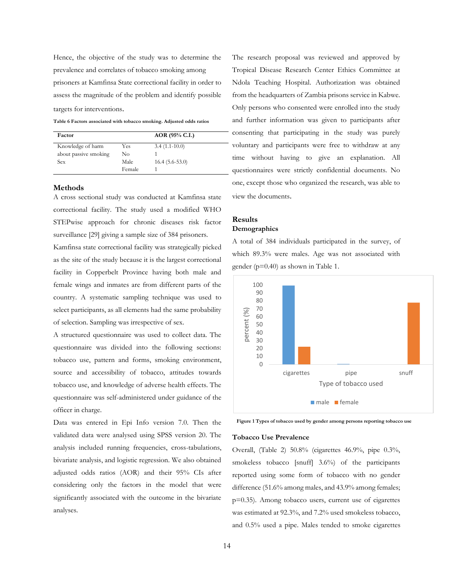Hence, the objective of the study was to determine the prevalence and correlates of tobacco smoking among prisoners at Kamfinsa State correctional facility in order to assess the magnitude of the problem and identify possible targets for interventions.

**Table 6 Factors associated with tobacco smoking. Adjusted odds ratios**

| Factor                |               | $AOR$ (95% C.I.) |
|-----------------------|---------------|------------------|
| Knowledge of harm     | Yes           | $3.4(1.1-10.0)$  |
| about passive smoking | No            |                  |
| Sex                   | Male.         | $16.4(5.6-53.0)$ |
|                       | <b>Female</b> |                  |

#### **Methods**

A cross sectional study was conducted at Kamfinsa state correctional facility. The study used a modified WHO STEPwise approach for chronic diseases risk factor surveillance [29] giving a sample size of 384 prisoners.

Kamfinsa state correctional facility was strategically picked as the site of the study because it is the largest correctional facility in Copperbelt Province having both male and female wings and inmates are from different parts of the country. A systematic sampling technique was used to select participants, as all elements had the same probability of selection. Sampling was irrespective of sex.

A structured questionnaire was used to collect data. The questionnaire was divided into the following sections: tobacco use, pattern and forms, smoking environment, source and accessibility of tobacco, attitudes towards tobacco use, and knowledge of adverse health effects. The questionnaire was self-administered under guidance of the officer in charge.

Data was entered in Epi Info version 7.0. Then the validated data were analysed using SPSS version 20. The analysis included running frequencies, cross-tabulations, bivariate analysis, and logistic regression. We also obtained adjusted odds ratios (AOR) and their 95% CIs after considering only the factors in the model that were significantly associated with the outcome in the bivariate analyses.

The research proposal was reviewed and approved by Tropical Disease Research Center Ethics Committee at Ndola Teaching Hospital. Authorization was obtained from the headquarters of Zambia prisons service in Kabwe. Only persons who consented were enrolled into the study and further information was given to participants after consenting that participating in the study was purely voluntary and participants were free to withdraw at any time without having to give an explanation. All questionnaires were strictly confidential documents. No one, except those who organized the research, was able to view the documents.

# **Results Demographics**

A total of 384 individuals participated in the survey, of which 89.3% were males. Age was not associated with gender (p=0.40) as shown in Table 1.



**Figure 1 Types of tobacco used by gender among persons reporting tobacco use**

## **Tobacco Use Prevalence**

Overall, (Table 2) 50.8% (cigarettes 46.9%, pipe 0.3%, smokeless tobacco [snuff] 3.6%) of the participants reported using some form of tobacco with no gender difference (51.6% among males, and 43.9% among females; p=0.35). Among tobacco users, current use of cigarettes was estimated at 92.3%, and 7.2% used smokeless tobacco, and 0.5% used a pipe. Males tended to smoke cigarettes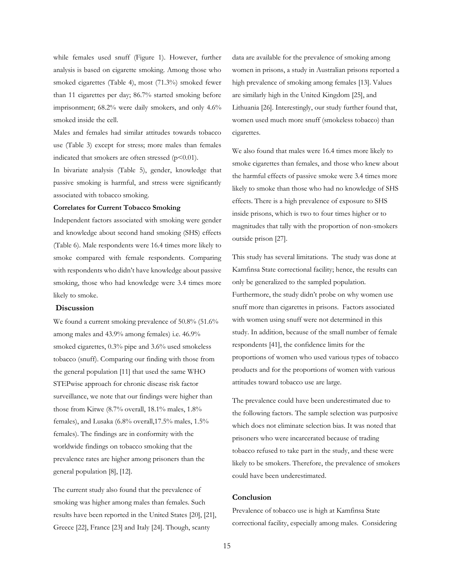while females used snuff (Figure 1). However, further analysis is based on cigarette smoking. Among those who smoked cigarettes (Table 4), most (71.3%) smoked fewer than 11 cigarettes per day; 86.7% started smoking before imprisonment; 68.2% were daily smokers, and only 4.6% smoked inside the cell.

Males and females had similar attitudes towards tobacco use (Table 3) except for stress; more males than females indicated that smokers are often stressed  $(p<0.01)$ .

In bivariate analysis (Table 5), gender, knowledge that passive smoking is harmful, and stress were significantly associated with tobacco smoking.

## **Correlates for Current Tobacco Smoking**

Independent factors associated with smoking were gender and knowledge about second hand smoking (SHS) effects (Table 6). Male respondents were 16.4 times more likely to smoke compared with female respondents. Comparing with respondents who didn't have knowledge about passive smoking, those who had knowledge were 3.4 times more likely to smoke.

## **Discussion**

We found a current smoking prevalence of 50.8% (51.6%) among males and 43.9% among females) i.e. 46.9% smoked cigarettes, 0.3% pipe and 3.6% used smokeless tobacco (snuff). Comparing our finding with those from the general population [11] that used the same WHO STEPwise approach for chronic disease risk factor surveillance, we note that our findings were higher than those from Kitwe (8.7% overall, 18.1% males, 1.8% females), and Lusaka (6.8% overall,17.5% males, 1.5% females). The findings are in conformity with the worldwide findings on tobacco smoking that the prevalence rates are higher among prisoners than the general population [8], [12].

The current study also found that the prevalence of smoking was higher among males than females. Such results have been reported in the United States [20], [21], Greece [22], France [23] and Italy [24]. Though, scanty

data are available for the prevalence of smoking among women in prisons, a study in Australian prisons reported a high prevalence of smoking among females [13]. Values are similarly high in the United Kingdom [25], and Lithuania [26]. Interestingly, our study further found that, women used much more snuff (smokeless tobacco) than cigarettes.

We also found that males were 16.4 times more likely to smoke cigarettes than females, and those who knew about the harmful effects of passive smoke were 3.4 times more likely to smoke than those who had no knowledge of SHS effects. There is a high prevalence of exposure to SHS inside prisons, which is two to four times higher or to magnitudes that tally with the proportion of non-smokers outside prison [27].

This study has several limitations. The study was done at Kamfinsa State correctional facility; hence, the results can only be generalized to the sampled population. Furthermore, the study didn't probe on why women use snuff more than cigarettes in prisons. Factors associated with women using snuff were not determined in this study. In addition, because of the small number of female respondents [41], the confidence limits for the proportions of women who used various types of tobacco products and for the proportions of women with various attitudes toward tobacco use are large.

The prevalence could have been underestimated due to the following factors. The sample selection was purposive which does not eliminate selection bias. It was noted that prisoners who were incarcerated because of trading tobacco refused to take part in the study, and these were likely to be smokers. Therefore, the prevalence of smokers could have been underestimated.

# **Conclusion**

Prevalence of tobacco use is high at Kamfinsa State correctional facility, especially among males. Considering